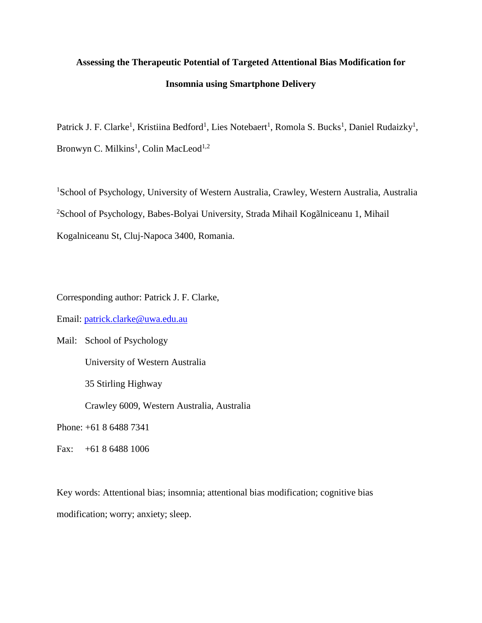# **Assessing the Therapeutic Potential of Targeted Attentional Bias Modification for Insomnia using Smartphone Delivery**

Patrick J. F. Clarke<sup>1</sup>, Kristiina Bedford<sup>1</sup>, Lies Notebaert<sup>1</sup>, Romola S. Bucks<sup>1</sup>, Daniel Rudaizky<sup>1</sup>, Bronwyn C. Milkins<sup>1</sup>, Colin MacLeod<sup>1,2</sup>

<sup>1</sup>School of Psychology, University of Western Australia, Crawley, Western Australia, Australia <sup>2</sup>School of Psychology, Babes-Bolyai University, Strada Mihail Kogãlniceanu 1, Mihail Kogalniceanu St, Cluj-Napoca 3400, Romania.

Corresponding author: Patrick J. F. Clarke,

Email: [patrick.clarke@uwa.edu.au](mailto:patrick.clarke@uwa.edu.au)

Mail: School of Psychology University of Western Australia 35 Stirling Highway Crawley 6009, Western Australia, Australia

Phone: +61 8 6488 7341

Fax: +61 8 6488 1006

Key words: Attentional bias; insomnia; attentional bias modification; cognitive bias modification; worry; anxiety; sleep.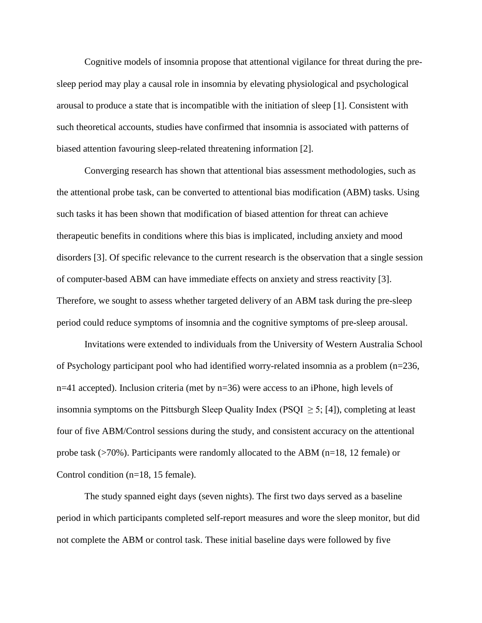Cognitive models of insomnia propose that attentional vigilance for threat during the presleep period may play a causal role in insomnia by elevating physiological and psychological arousal to produce a state that is incompatible with the initiation of sleep [\[1\]](#page-7-0). Consistent with such theoretical accounts, studies have confirmed that insomnia is associated with patterns of biased attention favouring sleep-related threatening information [\[2\]](#page-7-1).

Converging research has shown that attentional bias assessment methodologies, such as the attentional probe task, can be converted to attentional bias modification (ABM) tasks. Using such tasks it has been shown that modification of biased attention for threat can achieve therapeutic benefits in conditions where this bias is implicated, including anxiety and mood disorders [\[3\]](#page-7-2). Of specific relevance to the current research is the observation that a single session of computer-based ABM can have immediate effects on anxiety and stress reactivity [\[3\]](#page-7-2). Therefore, we sought to assess whether targeted delivery of an ABM task during the pre-sleep period could reduce symptoms of insomnia and the cognitive symptoms of pre-sleep arousal.

Invitations were extended to individuals from the University of Western Australia School of Psychology participant pool who had identified worry-related insomnia as a problem (n=236, n=41 accepted). Inclusion criteria (met by n=36) were access to an iPhone, high levels of insomnia symptoms on the Pittsburgh Sleep Quality Index (PSQI  $\geq$  5; [\[4\]](#page-7-3)), completing at least four of five ABM/Control sessions during the study, and consistent accuracy on the attentional probe task (>70%). Participants were randomly allocated to the ABM (n=18, 12 female) or Control condition (n=18, 15 female).

The study spanned eight days (seven nights). The first two days served as a baseline period in which participants completed self-report measures and wore the sleep monitor, but did not complete the ABM or control task. These initial baseline days were followed by five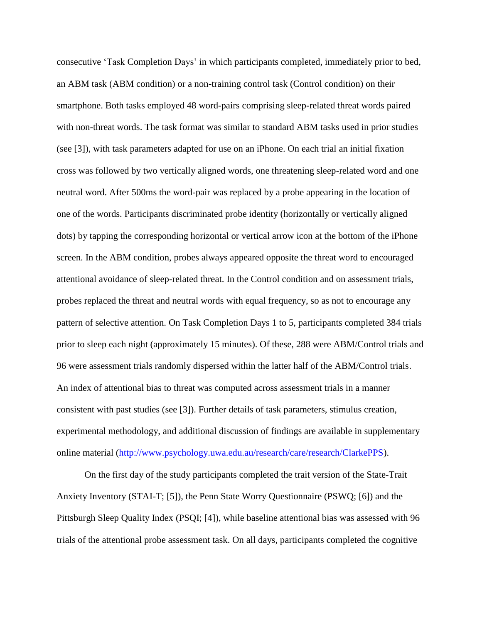consecutive 'Task Completion Days' in which participants completed, immediately prior to bed, an ABM task (ABM condition) or a non-training control task (Control condition) on their smartphone. Both tasks employed 48 word-pairs comprising sleep-related threat words paired with non-threat words. The task format was similar to standard ABM tasks used in prior studies (see [\[3\]](#page-7-2)), with task parameters adapted for use on an iPhone. On each trial an initial fixation cross was followed by two vertically aligned words, one threatening sleep-related word and one neutral word. After 500ms the word-pair was replaced by a probe appearing in the location of one of the words. Participants discriminated probe identity (horizontally or vertically aligned dots) by tapping the corresponding horizontal or vertical arrow icon at the bottom of the iPhone screen. In the ABM condition, probes always appeared opposite the threat word to encouraged attentional avoidance of sleep-related threat. In the Control condition and on assessment trials, probes replaced the threat and neutral words with equal frequency, so as not to encourage any pattern of selective attention. On Task Completion Days 1 to 5, participants completed 384 trials prior to sleep each night (approximately 15 minutes). Of these, 288 were ABM/Control trials and 96 were assessment trials randomly dispersed within the latter half of the ABM/Control trials. An index of attentional bias to threat was computed across assessment trials in a manner consistent with past studies (see [\[3\]](#page-7-2)). Further details of task parameters, stimulus creation, experimental methodology, and additional discussion of findings are available in supplementary online material [\(http://www.psychology.uwa.edu.au/research/care/research/ClarkePPS\)](http://www.psychology.uwa.edu.au/research/care/research/ClarkePPS).

On the first day of the study participants completed the trait version of the State-Trait Anxiety Inventory (STAI-T; [\[5\]](#page-7-4)), the Penn State Worry Questionnaire (PSWQ; [\[6\]](#page-7-5)) and the Pittsburgh Sleep Quality Index (PSQI; [\[4\]](#page-7-3)), while baseline attentional bias was assessed with 96 trials of the attentional probe assessment task. On all days, participants completed the cognitive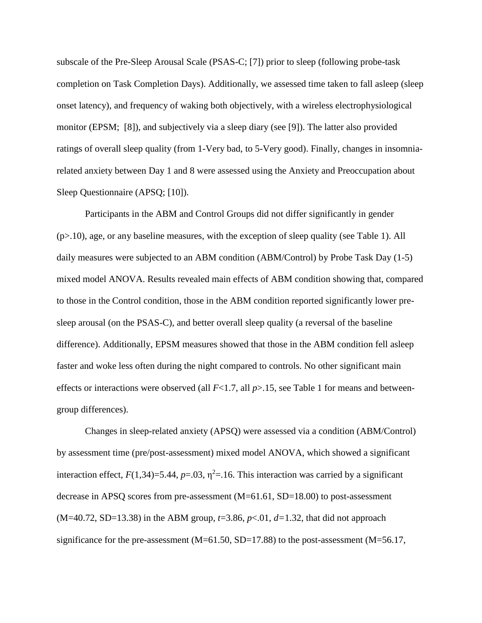subscale of the Pre-Sleep Arousal Scale (PSAS-C; [\[7\]](#page-7-6)) prior to sleep (following probe-task completion on Task Completion Days). Additionally, we assessed time taken to fall asleep (sleep onset latency), and frequency of waking both objectively, with a wireless electrophysiological monitor (EPSM; [\[8\]](#page-7-7)), and subjectively via a sleep diary (see [\[9\]](#page-7-8)). The latter also provided ratings of overall sleep quality (from 1-Very bad, to 5-Very good). Finally, changes in insomniarelated anxiety between Day 1 and 8 were assessed using the Anxiety and Preoccupation about Sleep Questionnaire (APSQ; [\[10\]](#page-7-9)).

Participants in the ABM and Control Groups did not differ significantly in gender (p>.10), age, or any baseline measures, with the exception of sleep quality (see Table 1). All daily measures were subjected to an ABM condition (ABM/Control) by Probe Task Day (1-5) mixed model ANOVA. Results revealed main effects of ABM condition showing that, compared to those in the Control condition, those in the ABM condition reported significantly lower presleep arousal (on the PSAS-C), and better overall sleep quality (a reversal of the baseline difference). Additionally, EPSM measures showed that those in the ABM condition fell asleep faster and woke less often during the night compared to controls. No other significant main effects or interactions were observed (all *F*<1.7, all *p*>.15, see Table 1 for means and betweengroup differences).

Changes in sleep-related anxiety (APSQ) were assessed via a condition (ABM/Control) by assessment time (pre/post-assessment) mixed model ANOVA, which showed a significant interaction effect,  $F(1,34)=5.44$ ,  $p=.03$ ,  $\eta^2=.16$ . This interaction was carried by a significant decrease in APSQ scores from pre-assessment (M=61.61, SD=18.00) to post-assessment (M=40.72, SD=13.38) in the ABM group, *t*=3.86, *p*<.01, *d=*1.32, that did not approach significance for the pre-assessment (M=61.50, SD=17.88) to the post-assessment (M=56.17,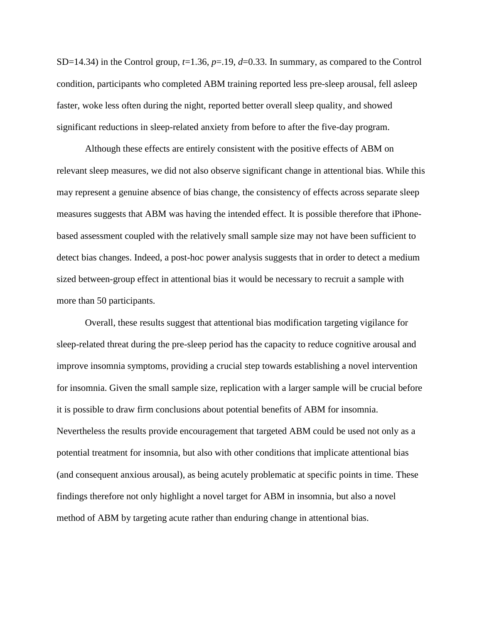SD=14.34) in the Control group,  $t=1.36$ ,  $p=19$ ,  $d=0.33$ . In summary, as compared to the Control condition, participants who completed ABM training reported less pre-sleep arousal, fell asleep faster, woke less often during the night, reported better overall sleep quality, and showed significant reductions in sleep-related anxiety from before to after the five-day program.

Although these effects are entirely consistent with the positive effects of ABM on relevant sleep measures, we did not also observe significant change in attentional bias. While this may represent a genuine absence of bias change, the consistency of effects across separate sleep measures suggests that ABM was having the intended effect. It is possible therefore that iPhonebased assessment coupled with the relatively small sample size may not have been sufficient to detect bias changes. Indeed, a post-hoc power analysis suggests that in order to detect a medium sized between-group effect in attentional bias it would be necessary to recruit a sample with more than 50 participants.

Overall, these results suggest that attentional bias modification targeting vigilance for sleep-related threat during the pre-sleep period has the capacity to reduce cognitive arousal and improve insomnia symptoms, providing a crucial step towards establishing a novel intervention for insomnia. Given the small sample size, replication with a larger sample will be crucial before it is possible to draw firm conclusions about potential benefits of ABM for insomnia. Nevertheless the results provide encouragement that targeted ABM could be used not only as a potential treatment for insomnia, but also with other conditions that implicate attentional bias (and consequent anxious arousal), as being acutely problematic at specific points in time. These findings therefore not only highlight a novel target for ABM in insomnia, but also a novel method of ABM by targeting acute rather than enduring change in attentional bias.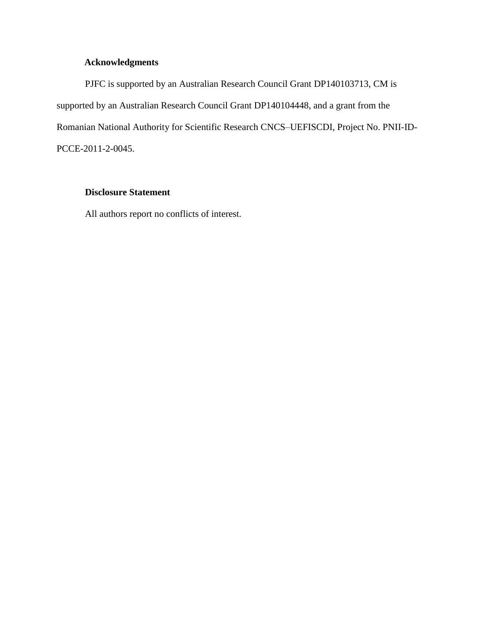# **Acknowledgments**

PJFC is supported by an Australian Research Council Grant DP140103713, CM is supported by an Australian Research Council Grant DP140104448, and a grant from the Romanian National Authority for Scientific Research CNCS–UEFISCDI, Project No. PNII-ID-PCCE-2011-2-0045.

## **Disclosure Statement**

All authors report no conflicts of interest.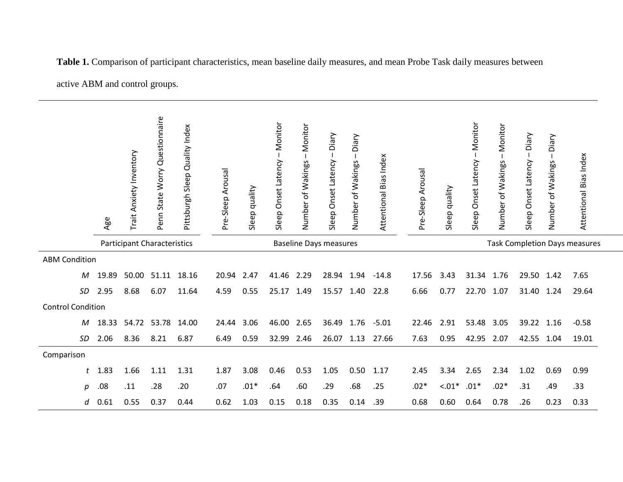|                                    |              | Age   | Trait Anxiety Inventory | Penn State Worry Questionnaire | Quality Index<br>Pittsburgh Sleep | Pre-Sleep Arousal | Sleep quality | Monitor<br>Onset Latency<br>Sleep | Monitor<br>Number of Wakings | Diary<br>Onset Latency<br>Sleep | Diary<br>Number of Wakings           | Attentional Bias Index | Pre-Sleep Arousal | quality<br>Sleep | Monitor<br>Onset Latency<br>Sleep | Monitor<br>Number of Wakings | Diary<br>Onset Latency<br>Sleep | Diary<br>of Wakings<br>Number | Attentional Bias Index |
|------------------------------------|--------------|-------|-------------------------|--------------------------------|-----------------------------------|-------------------|---------------|-----------------------------------|------------------------------|---------------------------------|--------------------------------------|------------------------|-------------------|------------------|-----------------------------------|------------------------------|---------------------------------|-------------------------------|------------------------|
| <b>Participant Characteristics</b> |              |       |                         |                                | <b>Baseline Days measures</b>     |                   |               |                                   |                              |                                 | <b>Task Completion Days measures</b> |                        |                   |                  |                                   |                              |                                 |                               |                        |
| <b>ABM Condition</b>               |              |       |                         |                                |                                   |                   |               |                                   |                              |                                 |                                      |                        |                   |                  |                                   |                              |                                 |                               |                        |
|                                    | M            | 19.89 | 50.00                   | 51.11                          | 18.16                             | 20.94 2.47        |               | 41.46 2.29                        |                              | 28.94 1.94                      |                                      | $-14.8$                | 17.56             | 3.43             | 31.34 1.76                        |                              | 29.50 1.42                      |                               | 7.65                   |
|                                    | SD           | 2.95  | 8.68                    | 6.07                           | 11.64                             | 4.59              | 0.55          | 25.17                             | 1.49                         | 15.57                           | 1.40                                 | 22.8                   | 6.66              | 0.77             | 22.70                             | 1.07                         | 31.40                           | 1.24                          | 29.64                  |
| <b>Control Condition</b>           |              |       |                         |                                |                                   |                   |               |                                   |                              |                                 |                                      |                        |                   |                  |                                   |                              |                                 |                               |                        |
|                                    | M            | 18.33 |                         | 54.72 53.78                    | 14.00                             | 24.44             | 3.06          | 46.00 2.65                        |                              | 36.49                           |                                      | $1.76 - 5.01$          | 22.46             | 2.91             | 53.48                             | 3.05                         | 39.22                           | 1.16                          | $-0.58$                |
|                                    | SD           | 2.06  | 8.36                    | 8.21                           | 6.87                              | 6.49              | 0.59          | 32.99                             | 2.46                         | 26.07                           | 1.13                                 | 27.66                  | 7.63              | 0.95             | 42.95                             | 2.07                         | 42.55                           | 1.04                          | 19.01                  |
| Comparison                         |              |       |                         |                                |                                   |                   |               |                                   |                              |                                 |                                      |                        |                   |                  |                                   |                              |                                 |                               |                        |
|                                    | $\mathbf{r}$ | 1.83  | 1.66                    | 1.11                           | 1.31                              | 1.87              | 3.08          | 0.46                              | 0.53                         | 1.05                            | 0.50                                 | 1.17                   | 2.45              | 3.34             | 2.65                              | 2.34                         | 1.02                            | 0.69                          | 0.99                   |
|                                    | р            | .08   | .11                     | .28                            | .20                               | .07               | $.01*$        | .64                               | .60                          | .29                             | .68                                  | .25                    | $.02*$            | $-.01*$          | $.01*$                            | $.02*$                       | .31                             | .49                           | .33                    |
|                                    | d            | 0.61  | 0.55                    | 0.37                           | 0.44                              | 0.62              | 1.03          | 0.15                              | 0.18                         | 0.35                            | 0.14                                 | .39                    | 0.68              | 0.60             | 0.64                              | 0.78                         | .26                             | 0.23                          | 0.33                   |

**Table 1.** Comparison of participant characteristics, mean baseline daily measures, and mean Probe Task daily measures between

active ABM and control groups.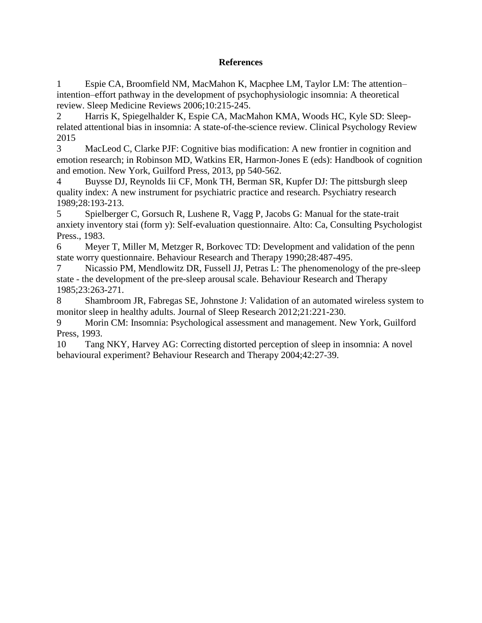### **References**

<span id="page-7-0"></span>1 Espie CA, Broomfield NM, MacMahon K, Macphee LM, Taylor LM: The attention– intention–effort pathway in the development of psychophysiologic insomnia: A theoretical review. Sleep Medicine Reviews 2006;10:215-245.

<span id="page-7-1"></span>2 Harris K, Spiegelhalder K, Espie CA, MacMahon KMA, Woods HC, Kyle SD: Sleeprelated attentional bias in insomnia: A state-of-the-science review. Clinical Psychology Review 2015

<span id="page-7-2"></span>3 MacLeod C, Clarke PJF: Cognitive bias modification: A new frontier in cognition and emotion research; in Robinson MD, Watkins ER, Harmon-Jones E (eds): Handbook of cognition and emotion. New York, Guilford Press, 2013, pp 540-562.

<span id="page-7-3"></span>4 Buysse DJ, Reynolds Iii CF, Monk TH, Berman SR, Kupfer DJ: The pittsburgh sleep quality index: A new instrument for psychiatric practice and research. Psychiatry research 1989;28:193-213.

<span id="page-7-4"></span>5 Spielberger C, Gorsuch R, Lushene R, Vagg P, Jacobs G: Manual for the state-trait anxiety inventory stai (form y): Self-evaluation questionnaire. Alto: Ca, Consulting Psychologist Press., 1983.

<span id="page-7-5"></span>6 Meyer T, Miller M, Metzger R, Borkovec TD: Development and validation of the penn state worry questionnaire. Behaviour Research and Therapy 1990;28:487-495.

<span id="page-7-6"></span>7 Nicassio PM, Mendlowitz DR, Fussell JJ, Petras L: The phenomenology of the pre-sleep state - the development of the pre-sleep arousal scale. Behaviour Research and Therapy 1985;23:263-271.

<span id="page-7-7"></span>8 Shambroom JR, Fabregas SE, Johnstone J: Validation of an automated wireless system to monitor sleep in healthy adults. Journal of Sleep Research 2012;21:221-230.

<span id="page-7-8"></span>9 Morin CM: Insomnia: Psychological assessment and management. New York, Guilford Press, 1993.

<span id="page-7-9"></span>10 Tang NKY, Harvey AG: Correcting distorted perception of sleep in insomnia: A novel behavioural experiment? Behaviour Research and Therapy 2004;42:27-39.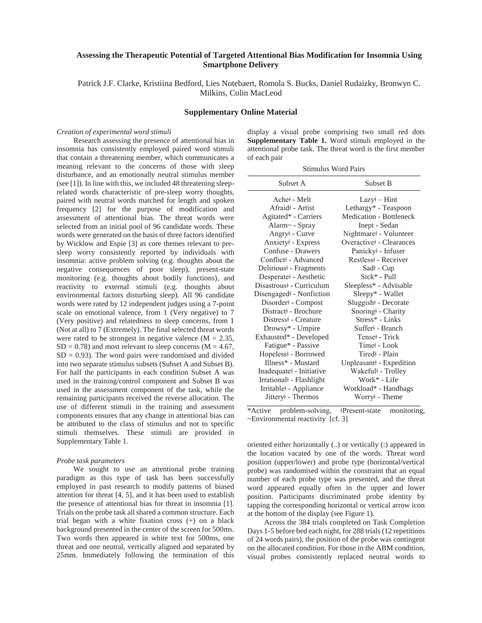#### **Assessing the Therapeutic Potential of Targeted Attentional Bias Modification for Insomnia Using Smartphone Delivery**

Patrick J.F. Clarke, Kristiina Bedford, Lies Notebaert, Romola S. Bucks, Daniel Rudaizky, Bronwyn C. Milkins, Colin MacLeod

#### **Supplementary Online Material**

#### *Creation of experimental word stimuli*

Research assessing the presence of attentional bias in insomnia has consistently employed paired word stimuli that contain a threatening member, which communicates a meaning relevant to the concerns of those with sleep disturbance, and an emotionally neutral stimulus member (see [1]). In line with this, we included 48 threatening sleeprelated words characteristic of pre-sleep worry thoughts, paired with neutral words matched for length and spoken frequency [2] for the purpose of modification and assessment of attentional bias. The threat words were selected from an initial pool of 96 candidate words. These words were generated on the basis of three factors identified by Wicklow and Espie [3] as core themes relevant to presleep worry consistently reported by individuals with insomnia: active problem solving (e.g. thoughts about the negative consequences of poor sleep), present-state monitoring (e.g. thoughts about bodily functions), and reactivity to external stimuli (e.g. thoughts about environmental factors disturbing sleep). All 96 candidate words were rated by 12 independent judges using a 7-point scale on emotional valence, from 1 (Very negative) to 7 (Very positive) and relatedness to sleep concerns, from 1 (Not at all) to 7 (Extremely). The final selected threat words were rated to be strongest in negative valence  $(M = 2.35,$  $SD = 0.78$ ) and most relevant to sleep concerns (M = 4.67,  $SD = 0.93$ ). The word pairs were randomised and divided into two separate stimulus subsets (Subset A and Subset B). For half the participants in each condition Subset A was used in the training/control component and Subset B was used in the assessment component of the task, while the remaining participants received the reverse allocation. The use of different stimuli in the training and assessment components ensures that any change in attentional bias can be attributed to the class of stimulus and not to specific stimuli themselves. These stimuli are provided in Supplementary Table 1.

#### *Probe task parameters*

We sought to use an attentional probe training paradigm as this type of task has been successfully employed in past research to modify patterns of biased attention for threat [4, 5], and it has been used to establish the presence of attentional bias for threat in insomnia [1]. Trials on the probe task all shared a common structure. Each trial began with a white fixation cross (+) on a black background presented in the center of the screen for 500ms. Two words then appeared in white text for 500ms, one threat and one neutral, vertically aligned and separated by 25mm. Immediately following the termination of this

display a visual probe comprising two small red dots **Supplementary Table 1.** Word stimuli employed in the attentional probe task. The threat word is the first member of each pair

| <b>Stimulus Word Pairs</b> |  |
|----------------------------|--|
|----------------------------|--|

| Subset A                           | Subset B                         |
|------------------------------------|----------------------------------|
| Ache+ - Melt                       | $Lazy+ - Hint$                   |
| Afraid <sup>+</sup> - Artist       | Lethargy* - Teaspoon             |
| Agitated* - Carriers               | <b>Medication - Bottleneck</b>   |
| Alarm~ - Spray                     | Inept - Sedan                    |
| Angry <sup>‡</sup> - Curve         | Nightmare + Volunteer            |
| Anxiety + Express                  | Overactive + - Clearances        |
| Confuse - Drawers                  | Panicky + - Infuser              |
| Conflict +- Advanced               | Restless <sup>#</sup> - Receiver |
| Delirious <sup>‡</sup> - Fragments | Sad <sup>‡</sup> - Cup           |
| Desperate +- Aesthetic             | Sick* - Pull                     |
| Disastrous + - Curriculum          | Sleepless* - Advisable           |
| Disengaged +- Nonfiction           | Sleepy* - Wallet                 |
| Disorder +- Compost                | Sluggish <sup>‡</sup> - Decorate |
| Distract+ - Brochure               | Snoring <sup>‡</sup> - Charity   |
| Distress - Creature                | Stress* - Links                  |
| Drowsy* - Umpire                   | Suffer +- Branch                 |
| Exhausted* - Developed             | Tensei - Trick                   |
| Fatigue* - Passive                 | Timei - Look                     |
| Hopeless <sup>‡</sup> - Borrowed   | Tired +- Plain                   |
| Illness* - Mustard                 | Unpleasant +- Expedition         |
| Inadequate - Initiative            | Wakeful‡ - Trolley               |
| Irrational +- Flashlight           | Work* - Life                     |
| Irritable +- Appliance             | Workload* - Handbags             |
| Jittery + - Thermos                | Worry <sup>‡</sup> - Theme       |

\*Active problem-solving, ǂPresent-state monitoring, ~Environmental reactivity [cf. 3]

oriented either horizontally (..) or vertically (:) appeared in the location vacated by one of the words. Threat word position (upper/lower) and probe type (horizontal/vertical probe) was randomised within the constraint that an equal number of each probe type was presented, and the threat word appeared equally often in the upper and lower position. Participants discriminated probe identity by tapping the corresponding horizontal or vertical arrow icon at the bottom of the display (see Figure 1).

Across the 384 trials completed on Task Completion Days 1-5 before bed each night, for 288 trials (12 repetitions of 24 words pairs), the position of the probe was contingent on the allocated condition. For those in the ABM condition, visual probes consistently replaced neutral words to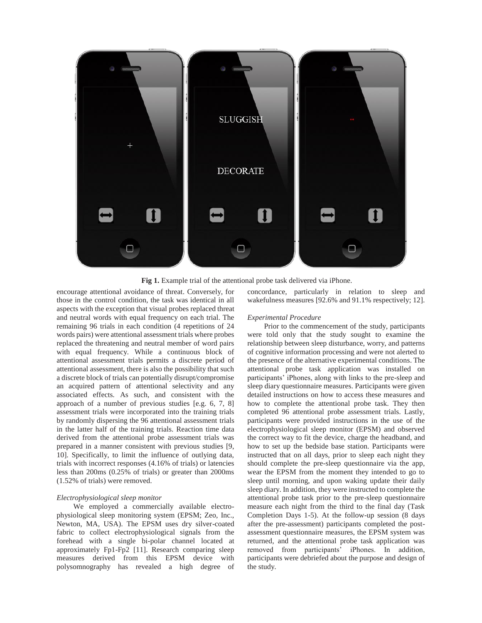

**Fig 1.** Example trial of the attentional probe task delivered via iPhone.

encourage attentional avoidance of threat. Conversely, for those in the control condition, the task was identical in all aspects with the exception that visual probes replaced threat and neutral words with equal frequency on each trial. The remaining 96 trials in each condition (4 repetitions of 24 words pairs) were attentional assessment trials where probes replaced the threatening and neutral member of word pairs with equal frequency. While a continuous block of attentional assessment trials permits a discrete period of attentional assessment, there is also the possibility that such a discrete block of trials can potentially disrupt/compromise an acquired pattern of attentional selectivity and any associated effects. As such, and consistent with the approach of a number of previous studies [e.g. 6, 7, 8] assessment trials were incorporated into the training trials by randomly dispersing the 96 attentional assessment trials in the latter half of the training trials. Reaction time data derived from the attentional probe assessment trials was prepared in a manner consistent with previous studies [9, 10]. Specifically, to limit the influence of outlying data, trials with incorrect responses (4.16% of trials) or latencies less than 200ms (0.25% of trials) or greater than 2000ms (1.52% of trials) were removed.

#### *Electrophysiological sleep monitor*

We employed a commercially available electrophysiological sleep monitoring system (EPSM; Zeo, Inc., Newton, MA, USA). The EPSM uses dry silver-coated fabric to collect electrophysiological signals from the forehead with a single bi-polar channel located at approximately Fp1-Fp2 [11]. Research comparing sleep measures derived from this EPSM device with polysomnography has revealed a high degree of concordance, particularly in relation to sleep and wakefulness measures [92.6% and 91.1% respectively; 12].

#### *Experimental Procedure*

Prior to the commencement of the study, participants were told only that the study sought to examine the relationship between sleep disturbance, worry, and patterns of cognitive information processing and were not alerted to the presence of the alternative experimental conditions. The attentional probe task application was installed on participants' iPhones, along with links to the pre-sleep and sleep diary questionnaire measures. Participants were given detailed instructions on how to access these measures and how to complete the attentional probe task. They then completed 96 attentional probe assessment trials. Lastly, participants were provided instructions in the use of the electrophysiological sleep monitor (EPSM) and observed the correct way to fit the device, charge the headband, and how to set up the bedside base station. Participants were instructed that on all days, prior to sleep each night they should complete the pre-sleep questionnaire via the app, wear the EPSM from the moment they intended to go to sleep until morning, and upon waking update their daily sleep diary. In addition, they were instructed to complete the attentional probe task prior to the pre-sleep questionnaire measure each night from the third to the final day (Task Completion Days 1-5). At the follow-up session (8 days after the pre-assessment) participants completed the postassessment questionnaire measures, the EPSM system was returned, and the attentional probe task application was removed from participants' iPhones. In addition, participants were debriefed about the purpose and design of the study.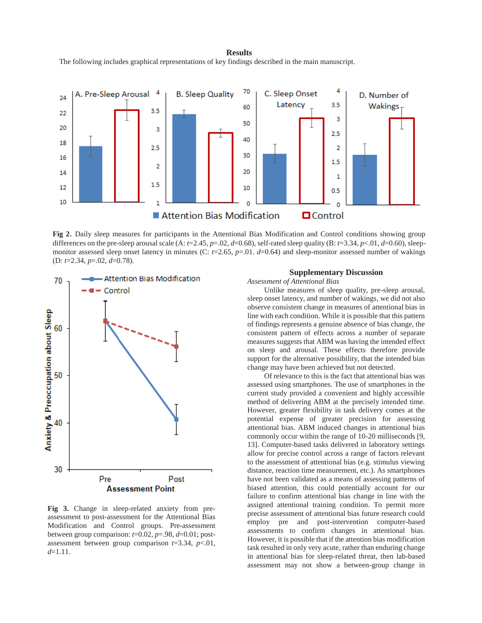#### **Results**

The following includes graphical representations of key findings described in the main manuscript.



**Fig 2**. Daily sleep measures for participants in the Attentional Bias Modification and Control conditions showing group differences on the pre-sleep arousal scale (A:  $t=2.45$ ,  $p=.02$ ,  $d=0.68$ ), self-rated sleep quality (B:  $t=3.34$ ,  $p<.01$ ,  $d=0.60$ ), sleepmonitor assessed sleep onset latency in minutes (C:  $t=2.65$ ,  $p=.01$ .  $d=0.64$ ) and sleep-monitor assessed number of wakings (D: *t*=2.34, *p*=.02, *d*=0.78).



**Fig 3.** Change in sleep-related anxiety from preassessment to post-assessment for the Attentional Bias Modification and Control groups. Pre-assessment between group comparison:  $t=0.02$ ,  $p=.98$ ,  $d=0.01$ ; postassessment between group comparison *t*=3.34, *p*<.01, *d*=1.11.

#### **Supplementary Discussion**

*Assessment of Attentional Bias*

Unlike measures of sleep quality, pre-sleep arousal, sleep onset latency, and number of wakings, we did not also observe consistent change in measures of attentional bias in line with each condition. While it is possible that this pattern of findings represents a genuine absence of bias change, the consistent pattern of effects across a number of separate measures suggests that ABM was having the intended effect on sleep and arousal. These effects therefore provide support for the alternative possibility, that the intended bias change may have been achieved but not detected.

Of relevance to this is the fact that attentional bias was assessed using smartphones. The use of smartphones in the current study provided a convenient and highly accessible method of delivering ABM at the precisely intended time. However, greater flexibility in task delivery comes at the potential expense of greater precision for assessing attentional bias. ABM induced changes in attentional bias commonly occur within the range of 10-20 milliseconds [9, 13]. Computer-based tasks delivered in laboratory settings allow for precise control across a range of factors relevant to the assessment of attentional bias (e.g. stimulus viewing distance, reaction time measurement, etc.). As smartphones have not been validated as a means of assessing patterns of biased attention, this could potentially account for our failure to confirm attentional bias change in line with the assigned attentional training condition. To permit more precise assessment of attentional bias future research could employ pre and post-intervention computer-based assessments to confirm changes in attentional bias. However, it is possible that if the attention bias modification task resulted in only very acute, rather than enduring change in attentional bias for sleep-related threat, then lab-based assessment may not show a between-group change in